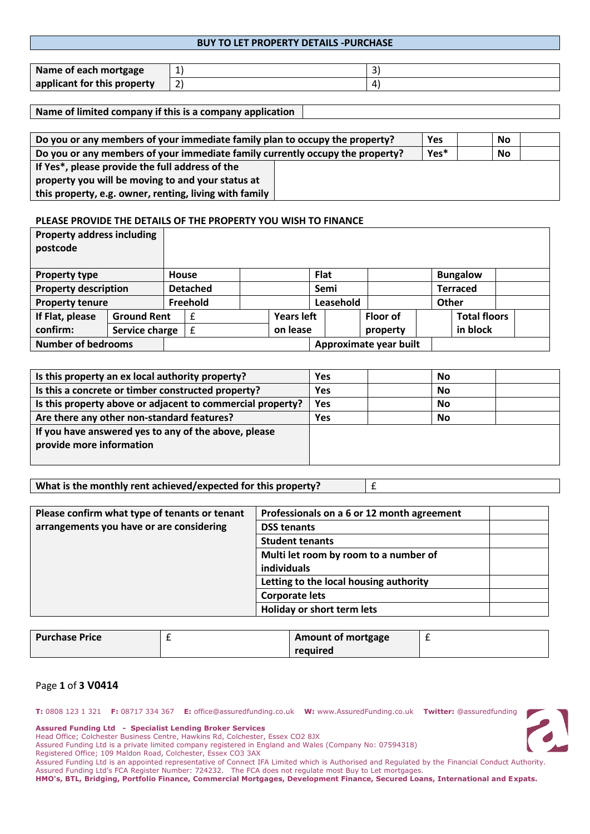## **BUY TO LET PROPERTY DETAILS -PURCHASE**

| Name of each mortgage       | - |  |
|-----------------------------|---|--|
| applicant for this property |   |  |

**Name of limited company if this is a company application**

| Do you or any members of your immediate family plan to occupy the property?   |  |  | No |  |
|-------------------------------------------------------------------------------|--|--|----|--|
| Do you or any members of your immediate family currently occupy the property? |  |  | No |  |
| If Yes*, please provide the full address of the                               |  |  |    |  |
| property you will be moving to and your status at                             |  |  |    |  |
| this property, e.g. owner, renting, living with family                        |  |  |    |  |

#### **PLEASE PROVIDE THE DETAILS OF THE PROPERTY YOU WISH TO FINANCE**

| <b>Property address including</b><br>postcode |                    |       |                 |                   |             |                        |              |                     |  |
|-----------------------------------------------|--------------------|-------|-----------------|-------------------|-------------|------------------------|--------------|---------------------|--|
| <b>Property type</b>                          |                    | House |                 |                   | <b>Flat</b> |                        |              | <b>Bungalow</b>     |  |
| <b>Property description</b>                   |                    |       | <b>Detached</b> |                   | Semi        |                        |              | Terraced            |  |
| <b>Property tenure</b>                        |                    |       | Freehold        |                   | Leasehold   |                        | <b>Other</b> |                     |  |
| If Flat, please                               | <b>Ground Rent</b> |       |                 | <b>Years left</b> |             | <b>Floor of</b>        |              | <b>Total floors</b> |  |
| confirm:                                      | Service charge     |       | f               | on lease          |             | property               |              | in block            |  |
| <b>Number of bedrooms</b>                     |                    |       |                 |                   |             | Approximate year built |              |                     |  |

| Is this property an ex local authority property?           | Yes        | No |  |
|------------------------------------------------------------|------------|----|--|
| Is this a concrete or timber constructed property?         | <b>Yes</b> | No |  |
| Is this property above or adjacent to commercial property? | Yes        | No |  |
| Are there any other non-standard features?                 | Yes        | No |  |
| If you have answered yes to any of the above, please       |            |    |  |
| provide more information                                   |            |    |  |
|                                                            |            |    |  |

|  | What is the monthly rent achieved/expected for this property? |  |
|--|---------------------------------------------------------------|--|
|--|---------------------------------------------------------------|--|

| Please confirm what type of tenants or tenant | Professionals on a 6 or 12 month agreement |  |
|-----------------------------------------------|--------------------------------------------|--|
| arrangements you have or are considering      | <b>DSS tenants</b>                         |  |
|                                               | <b>Student tenants</b>                     |  |
|                                               | Multi let room by room to a number of      |  |
|                                               | individuals                                |  |
|                                               | Letting to the local housing authority     |  |
|                                               | <b>Corporate lets</b>                      |  |
|                                               | <b>Holiday or short term lets</b>          |  |

| <b>Purchase Price</b> | Amount of mortgage |  |
|-----------------------|--------------------|--|
|                       | required           |  |

#### Page **1** of **3 V0414**

**T:** 0808 123 1 321 **F:** 08717 334 367 **E:** office@assuredfunding.co.uk **W:** www.AssuredFunding.co.uk **Twitter:** @assuredfunding

**Assured Funding Ltd - Specialist Lending Broker Services**

Head Office; Colchester Business Centre, Hawkins Rd, Colchester, Essex CO2 8JX

Assured Funding Ltd is a private limited company registered in England and Wales (Company No: 07594318)

Registered Office; 109 Maldon Road, Colchester, Essex CO3 3AX

Assured Funding Ltd is an appointed representative of Connect IFA Limited which is Authorised and Regulated by the Financial Conduct Authority. Assured Funding Ltd's FCA Register Number: 724232. The FCA does not regulate most Buy to Let mortgages.

**HMO's, BTL, Bridging, Portfolio Finance, Commercial Mortgages, Development Finance, Secured Loans, International and Expats.**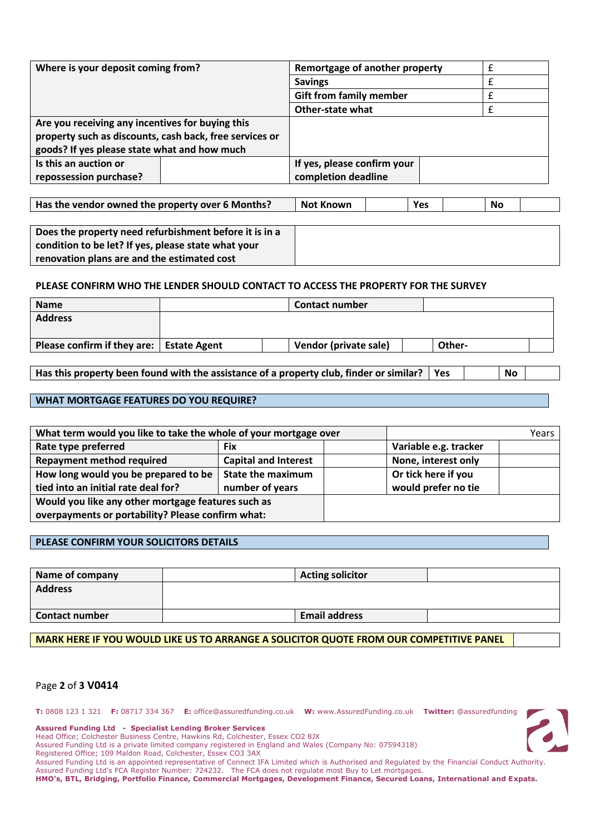| Where is your deposit coming from?                      |  | Remortgage of another property |  |  |
|---------------------------------------------------------|--|--------------------------------|--|--|
|                                                         |  | <b>Savings</b>                 |  |  |
|                                                         |  | <b>Gift from family member</b> |  |  |
|                                                         |  | <b>Other-state what</b>        |  |  |
| Are you receiving any incentives for buying this        |  |                                |  |  |
| property such as discounts, cash back, free services or |  |                                |  |  |
| goods? If yes please state what and how much            |  |                                |  |  |
| Is this an auction or                                   |  | If yes, please confirm your    |  |  |
| repossession purchase?                                  |  | completion deadline            |  |  |

| Has the vendor owned the property over 6 Months? | <b>Not Known</b> |  | Yes |  | No |  |
|--------------------------------------------------|------------------|--|-----|--|----|--|
|--------------------------------------------------|------------------|--|-----|--|----|--|

| Does the property need refurbishment before it is in a |
|--------------------------------------------------------|
| condition to be let? If yes, please state what your    |
| renovation plans are and the estimated cost            |

#### **PLEASE CONFIRM WHO THE LENDER SHOULD CONTACT TO ACCESS THE PROPERTY FOR THE SURVEY**

| <b>Name</b>                                | <b>Contact number</b> |        |  |
|--------------------------------------------|-----------------------|--------|--|
| <b>Address</b>                             |                       |        |  |
|                                            |                       |        |  |
| Please confirm if they are:   Estate Agent | Vendor (private sale) | Other- |  |
|                                            |                       |        |  |

Has this property been found with the assistance of a property club, finder or similar? | Yes | No

# **WHAT MORTGAGE FEATURES DO YOU REQUIRE?**

| What term would you like to take the whole of your mortgage over |                             |  |                       | Years |
|------------------------------------------------------------------|-----------------------------|--|-----------------------|-------|
| Rate type preferred                                              | <b>Fix</b>                  |  | Variable e.g. tracker |       |
| <b>Repayment method required</b>                                 | <b>Capital and Interest</b> |  | None, interest only   |       |
| How long would you be prepared to be                             | <b>State the maximum</b>    |  | Or tick here if you   |       |
| tied into an initial rate deal for?                              | number of years             |  | would prefer no tie   |       |
| Would you like any other mortgage features such as               |                             |  |                       |       |
| overpayments or portability? Please confirm what:                |                             |  |                       |       |

#### **PLEASE CONFIRM YOUR SOLICITORS DETAILS**

| Name of company       | <b>Acting solicitor</b> |  |
|-----------------------|-------------------------|--|
| <b>Address</b>        |                         |  |
|                       |                         |  |
| <b>Contact number</b> | <b>Email address</b>    |  |

#### **MARK HERE IF YOU WOULD LIKE US TO ARRANGE A SOLICITOR QUOTE FROM OUR COMPETITIVE PANEL**

# Page **2** of **3 V0414**

**T:** 0808 123 1 321 **F:** 08717 334 367 **E:** office@assuredfunding.co.uk **W:** www.AssuredFunding.co.uk **Twitter:** @assuredfunding

**Assured Funding Ltd - Specialist Lending Broker Services**

Head Office; Colchester Business Centre, Hawkins Rd, Colchester, Essex CO2 8JX

Assured Funding Ltd is a private limited company registered in England and Wales (Company No: 07594318)

Registered Office; 109 Maldon Road, Colchester, Essex CO3 3AX

Assured Funding Ltd is an appointed representative of Connect IFA Limited which is Authorised and Regulated by the Financial Conduct Authority. Assured Funding Ltd's FCA Register Number: 724232. The FCA does not regulate most Buy to Let mortgages.

**HMO's, BTL, Bridging, Portfolio Finance, Commercial Mortgages, Development Finance, Secured Loans, International and Expats.**